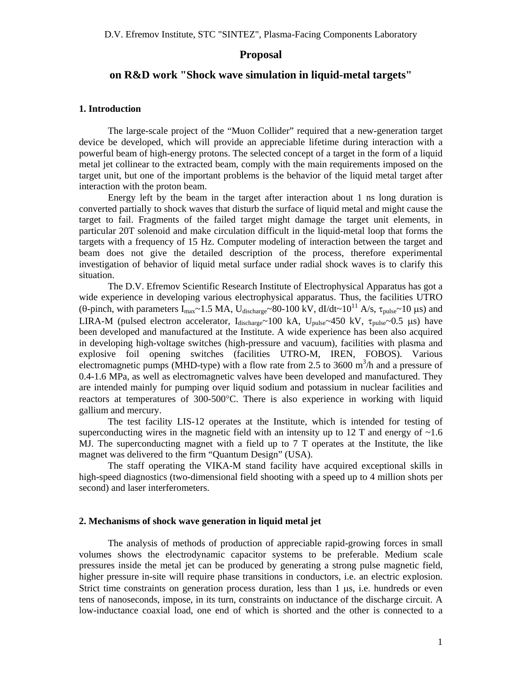# **Proposal**

# **on R&D work "Shock wave simulation in liquid-metal targets"**

### **1. Introduction**

The large-scale project of the "Muon Collider" required that a new-generation target device be developed, which will provide an appreciable lifetime during interaction with a powerful beam of high-energy protons. The selected concept of a target in the form of a liquid metal jet collinear to the extracted beam, comply with the main requirements imposed on the target unit, but one of the important problems is the behavior of the liquid metal target after interaction with the proton beam.

Energy left by the beam in the target after interaction about 1 ns long duration is converted partially to shock waves that disturb the surface of liquid metal and might cause the target to fail. Fragments of the failed target might damage the target unit elements, in particular 20T solenoid and make circulation difficult in the liquid-metal loop that forms the targets with a frequency of 15 Hz. Computer modeling of interaction between the target and beam does not give the detailed description of the process, therefore experimental investigation of behavior of liquid metal surface under radial shock waves is to clarify this situation.

 The D.V. Efremov Scientific Research Institute of Electrophysical Apparatus has got a wide experience in developing various electrophysical apparatus. Thus, the facilities UTRO (θ-pinch, with parameters  $I_{max}$ ~1.5 MA,  $U_{discharge}$ ~80-100 kV, dI/dt~10<sup>11</sup> A/s,  $\tau_{pulse}$ ~10 μs) and LIRA-M (pulsed electron accelerator,  $I_{discharge} \sim 100$  kA,  $U_{pulse} \sim 450$  kV,  $\tau_{pulse} \sim 0.5$  µs) have been developed and manufactured at the Institute. A wide experience has been also acquired in developing high-voltage switches (high-pressure and vacuum), facilities with plasma and explosive foil opening switches (facilities UTRO-M, IREN, FOBOS). Various electromagnetic pumps (MHD-type) with a flow rate from 2.5 to 3600  $\text{m}^3/\text{h}$  and a pressure of 0.4-1.6 MPa, as well as electromagnetic valves have been developed and manufactured. They are intended mainly for pumping over liquid sodium and potassium in nuclear facilities and reactors at temperatures of 300-500°C. There is also experience in working with liquid gallium and mercury.

The test facility LIS-12 operates at the Institute, which is intended for testing of superconducting wires in the magnetic field with an intensity up to 12 T and energy of  $\sim$ 1.6 MJ. The superconducting magnet with a field up to 7 T operates at the Institute, the like magnet was delivered to the firm "Quantum Design" (USA).

The staff operating the VIKA-M stand facility have acquired exceptional skills in high-speed diagnostics (two-dimensional field shooting with a speed up to 4 million shots per second) and laser interferometers.

#### **2. Mechanisms of shock wave generation in liquid metal jet**

The analysis of methods of production of appreciable rapid-growing forces in small volumes shows the electrodynamic capacitor systems to be preferable. Medium scale pressures inside the metal jet can be produced by generating a strong pulse magnetic field, higher pressure in-site will require phase transitions in conductors, i.e. an electric explosion. Strict time constraints on generation process duration, less than 1  $\mu$ s, i.e. hundreds or even tens of nanoseconds, impose, in its turn, constraints on inductance of the discharge circuit. A low-inductance coaxial load, one end of which is shorted and the other is connected to a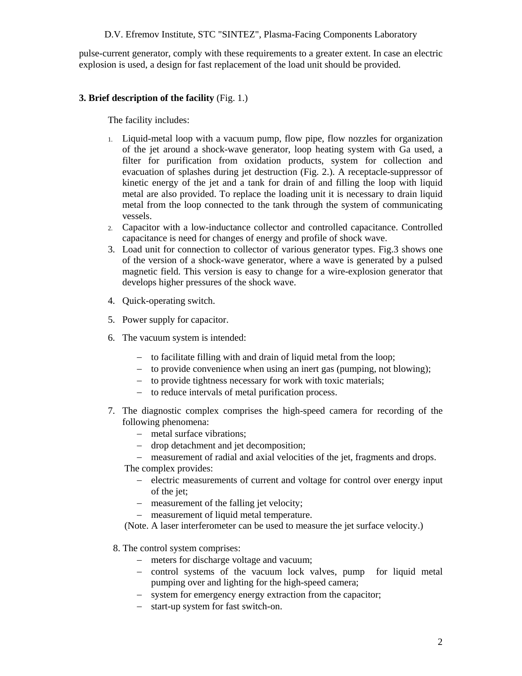# D.V. Efremov Institute, STC "SINTEZ", Plasma-Facing Components Laboratory

pulse-current generator, comply with these requirements to a greater extent. In case an electric explosion is used, a design for fast replacement of the load unit should be provided.

# **3. Brief description of the facility** (Fig. 1.)

The facility includes:

- 1. Liquid-metal loop with a vacuum pump, flow pipe, flow nozzles for organization of the jet around a shock-wave generator, loop heating system with Ga used, a filter for purification from oxidation products, system for collection and evacuation of splashes during jet destruction (Fig. 2.). A receptacle-suppressor of kinetic energy of the jet and a tank for drain of and filling the loop with liquid metal are also provided. To replace the loading unit it is necessary to drain liquid metal from the loop connected to the tank through the system of communicating vessels.
- 2. Capacitor with a low-inductance collector and controlled capacitance. Controlled capacitance is need for changes of energy and profile of shock wave.
- 3. Load unit for connection to collector of various generator types. Fig.3 shows one of the version of a shock-wave generator, where a wave is generated by a pulsed magnetic field. This version is easy to change for a wire-explosion generator that develops higher pressures of the shock wave.
- 4. Quick-operating switch.
- 5. Power supply for capacitor.
- 6. The vacuum system is intended:
	- − to facilitate filling with and drain of liquid metal from the loop;
	- − to provide convenience when using an inert gas (pumping, not blowing);
	- − to provide tightness necessary for work with toxic materials;
	- − to reduce intervals of metal purification process.
- 7. The diagnostic complex comprises the high-speed camera for recording of the following phenomena:
	- − metal surface vibrations;
	- − drop detachment and jet decomposition;

− measurement of radial and axial velocities of the jet, fragments and drops.

- The complex provides:
	- − electric measurements of current and voltage for control over energy input of the jet;
	- − measurement of the falling jet velocity;
	- − measurement of liquid metal temperature.

(Note. A laser interferometer can be used to measure the jet surface velocity.)

- 8. The control system comprises:
	- − meters for discharge voltage and vacuum;
	- − control systems of the vacuum lock valves, pump for liquid metal pumping over and lighting for the high-speed camera;
	- − system for emergency energy extraction from the capacitor;
	- − start-up system for fast switch-on.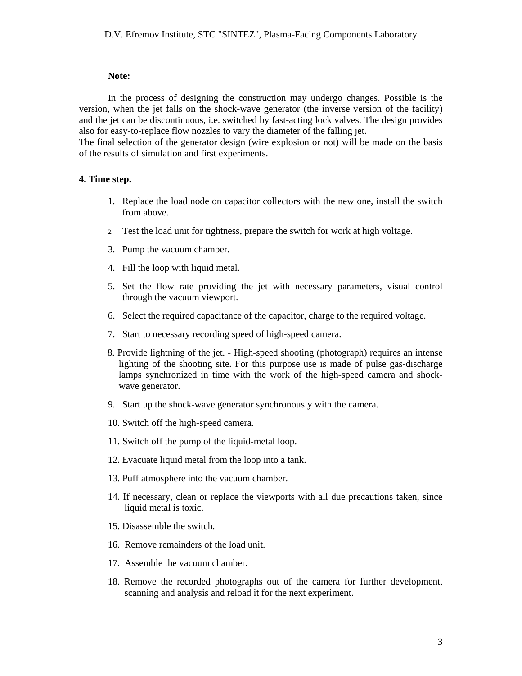#### **Note:**

In the process of designing the construction may undergo changes. Possible is the version, when the jet falls on the shock-wave generator (the inverse version of the facility) and the jet can be discontinuous, i.e. switched by fast-acting lock valves. The design provides also for easy-to-replace flow nozzles to vary the diameter of the falling jet.

The final selection of the generator design (wire explosion or not) will be made on the basis of the results of simulation and first experiments.

# **4. Time step.**

- 1. Replace the load node on capacitor collectors with the new one, install the switch from above.
- 2. Test the load unit for tightness, prepare the switch for work at high voltage.
- 3. Pump the vacuum chamber.
- 4. Fill the loop with liquid metal.
- 5. Set the flow rate providing the jet with necessary parameters, visual control through the vacuum viewport.
- 6. Select the required capacitance of the capacitor, charge to the required voltage.
- 7. Start to necessary recording speed of high-speed camera.
- 8. Provide lightning of the jet. High-speed shooting (photograph) requires an intense lighting of the shooting site. For this purpose use is made of pulse gas-discharge lamps synchronized in time with the work of the high-speed camera and shockwave generator.
- 9. Start up the shock-wave generator synchronously with the camera.
- 10. Switch off the high-speed camera.
- 11. Switch off the pump of the liquid-metal loop.
- 12. Evacuate liquid metal from the loop into a tank.
- 13. Puff atmosphere into the vacuum chamber.
- 14. If necessary, clean or replace the viewports with all due precautions taken, since liquid metal is toxic.
- 15. Disassemble the switch.
- 16. Remove remainders of the load unit.
- 17. Assemble the vacuum chamber.
- 18. Remove the recorded photographs out of the camera for further development, scanning and analysis and reload it for the next experiment.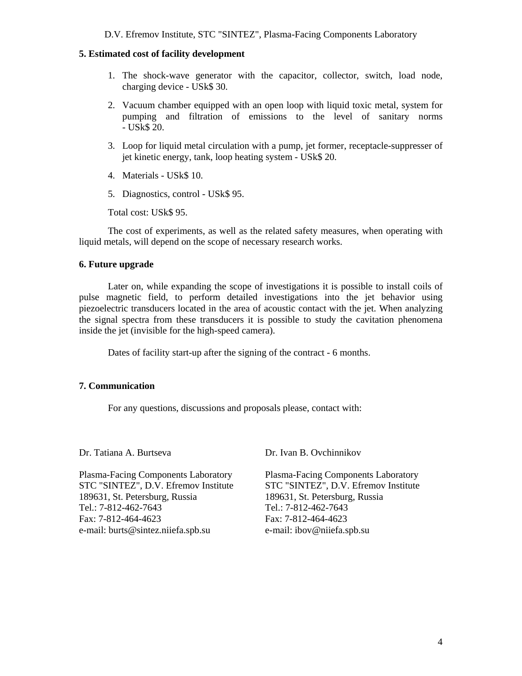D.V. Efremov Institute, STC "SINTEZ", Plasma-Facing Components Laboratory

# **5. Estimated cost of facility development**

- 1. The shock-wave generator with the capacitor, collector, switch, load node, charging device - USk\$ 30.
- 2. Vacuum chamber equipped with an open loop with liquid toxic metal, system for pumping and filtration of emissions to the level of sanitary norms - USk\$ 20.
- 3. Loop for liquid metal circulation with a pump, jet former, receptacle-suppresser of jet kinetic energy, tank, loop heating system - USk\$ 20.
- 4. Materials USk\$ 10.
- 5. Diagnostics, control USk\$ 95.

Total cost: USk\$ 95.

The cost of experiments, as well as the related safety measures, when operating with liquid metals, will depend on the scope of necessary research works.

### **6. Future upgrade**

Later on, while expanding the scope of investigations it is possible to install coils of pulse magnetic field, to perform detailed investigations into the jet behavior using piezoelectric transducers located in the area of acoustic contact with the jet. When analyzing the signal spectra from these transducers it is possible to study the cavitation phenomena inside the jet (invisible for the high-speed camera).

Dates of facility start-up after the signing of the contract - 6 months.

# **7. Communication**

For any questions, discussions and proposals please, contact with:

Dr. Tatiana A. Burtseva

Plasma-Facing Components Laboratory STC "SINTEZ", D.V. Efremov Institute 189631, St. Petersburg, Russia Tel.: 7-812-462-7643 Fax: 7-812-464-4623 e-mail: burts@sintez.niiefa.spb.su

Dr. Ivan B. Ovchinnikov

Plasma-Facing Components Laboratory STC "SINTEZ", D.V. Efremov Institute 189631, St. Petersburg, Russia Tel.: 7-812-462-7643 Fax: 7-812-464-4623 e-mail: ibov@niiefa.spb.su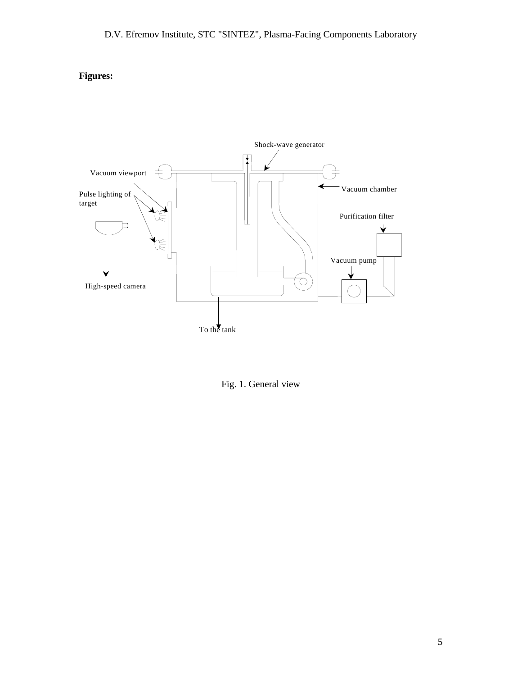# **Figures:**



Fig. 1. General view